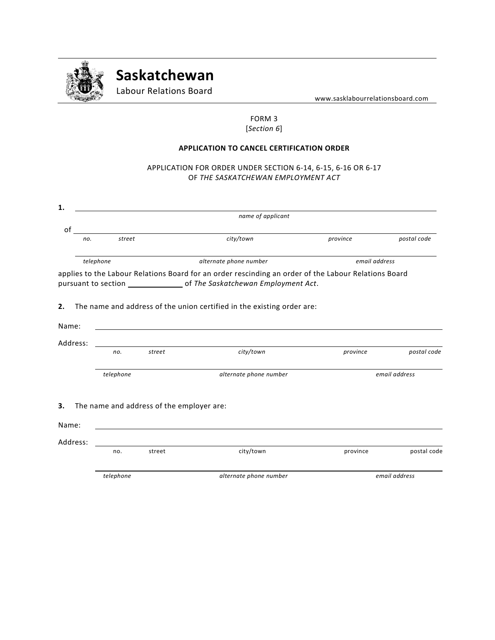

# **Saskatchewan**

Labour Relations Board

www.sasklabourrelationsboard.com

# FORM 3 [*Section 6*]

### **APPLICATION TO CANCEL CERTIFICATION ORDER**

# APPLICATION FOR ORDER UNDER SECTION 6-14, 6-15, 6-16 OR 6-17 OF *THE SASKATCHEWAN EMPLOYMENT ACT*

| 1.       | name of applicant |           |                                                                                                                      |                                                                                                      |               |               |  |  |
|----------|-------------------|-----------|----------------------------------------------------------------------------------------------------------------------|------------------------------------------------------------------------------------------------------|---------------|---------------|--|--|
| οf       |                   |           |                                                                                                                      |                                                                                                      |               |               |  |  |
|          | no.               | street    | <u> 1980 - Jan Samuel Barbara, martin da shekara 1980 - An tsa a tsa a tsa a tsa a tsa a tsa a tsa a tsa a tsa a</u> | city/town                                                                                            | province      | postal code   |  |  |
|          | telephone         |           |                                                                                                                      | alternate phone number                                                                               | email address |               |  |  |
|          |                   |           |                                                                                                                      | applies to the Labour Relations Board for an order rescinding an order of the Labour Relations Board |               |               |  |  |
| 2.       |                   |           |                                                                                                                      | The name and address of the union certified in the existing order are:                               |               |               |  |  |
| Name:    |                   |           |                                                                                                                      |                                                                                                      |               |               |  |  |
| Address: |                   |           |                                                                                                                      |                                                                                                      |               |               |  |  |
|          |                   | no.       | street                                                                                                               | city/town                                                                                            | province      | postal code   |  |  |
|          |                   | telephone |                                                                                                                      | alternate phone number                                                                               |               | email address |  |  |
| 3.       |                   |           | The name and address of the employer are:                                                                            |                                                                                                      |               |               |  |  |
| Name:    |                   |           |                                                                                                                      |                                                                                                      |               |               |  |  |
| Address: |                   |           |                                                                                                                      |                                                                                                      |               |               |  |  |
|          |                   | no.       | street                                                                                                               | city/town                                                                                            | province      | postal code   |  |  |
|          |                   | telephone |                                                                                                                      | alternate phone number                                                                               |               | email address |  |  |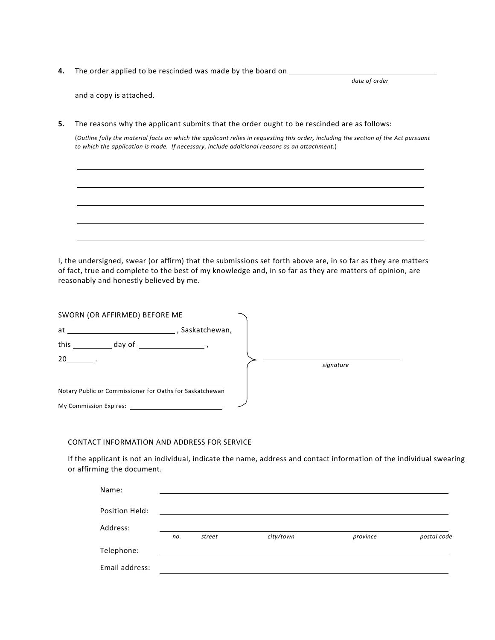**4.** The order applied to be rescinded was made by the board on \_\_\_\_\_\_\_\_\_\_\_\_\_\_\_\_\_

*date of order* 

and a copy is attached.

**5.** The reasons why the applicant submits that the order ought to be rescinded are as follows:

(*Outline fully the material facts on which the applicant relies in requesting this order, including the section of the Act pursuant to which the application is made. If necessary, include additional reasons as an attachment*.)

I, the undersigned, swear (or affirm) that the submissions set forth above are, in so far as they are matters of fact, true and complete to the best of my knowledge and, in so far as they are matters of opinion, are reasonably and honestly believed by me.

| SWORN (OR AFFIRMED) BEFORE ME                            |               |           |
|----------------------------------------------------------|---------------|-----------|
| at                                                       | Saskatchewan, |           |
| this<br>day of                                           |               |           |
| 20                                                       |               | signature |
| Notary Public or Commissioner for Oaths for Saskatchewan |               |           |
| My Commission Expires:                                   |               |           |

#### CONTACT INFORMATION AND ADDRESS FOR SERVICE

If the applicant is not an individual, indicate the name, address and contact information of the individual swearing or affirming the document.

| Name:          |     |        |           |          |             |
|----------------|-----|--------|-----------|----------|-------------|
| Position Held: |     |        |           |          |             |
| Address:       |     |        |           |          |             |
|                | no. | street | city/town | province | postal code |
| Telephone:     |     |        |           |          |             |
| Email address: |     |        |           |          |             |